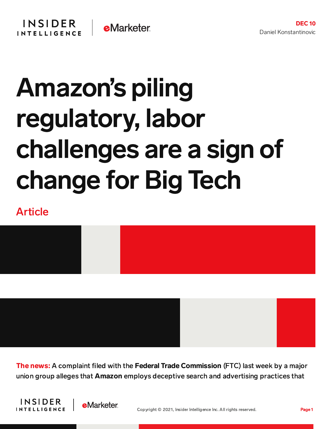

## Amazon's piling regulatory, labor challenges are a sign of change for Big Tech

## Article



The news: A complaint filed with the Federal Trade Commission (FTC) last week by a major union group alleges that Amazon employs deceptive search and advertising practices that



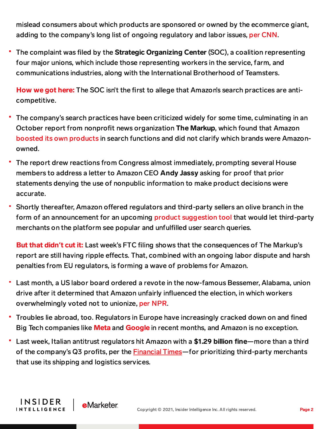mislead consumers about which products are sponsored or owned by the ecommerce giant, adding to the company's long list of ongoing regulatory and labor issues, per [CNN.](https://www.cnn.com/2021/12/09/tech/amazon-ftc-soc-filing/index.html)

The complaint was filed by the Strategic Organizing Center (SOC), a coalition representing four major unions, which include those representing workers in the service, farm, and communications industries, along with the International Brotherhood of Teamsters.

How we got here: The SOC isn't the first to allege that Amazon's search practices are anticompetitive.

- The company's search practices have been criticized widely for some time, culminating in an October report from nonprofit news organization The Markup, which found that Amazon boosted its own [products](https://content-na2.emarketer.com/amazon-prioritizes-search-results-its-own-products-above-competitors-per-markup-report) in search functions and did not clarify which brands were Amazonowned.
- The report drew reactions from Congress almost immediately, prompting several House members to address a letter to Amazon CEO Andy Jassy asking for proof that prior statements denying the use of nonpublic information to make product decisions were accurate.
- Shortly thereafter, Amazon offered regulators and third-party sellers an olive branch in the form of an announcement for an upcoming product [suggestion](https://content-na2.emarketer.com/amazon-launches-product-suggestion-tool-third-party-sellers-amid-regulatory-scrutiny) tool that would let third-party merchants on the platform see popular and unfulfilled user search queries.

But that didn**'**t cut it: Last week's FTC filing shows that the consequences of The Markup's report are still having ripple effects. That, combined with an ongoing labor dispute and harsh penalties from EU regulators, is forming a wave of problems for Amazon.

- Last month, a US labor board ordered a revote in the now-famous Bessemer, Alabama, union drive after it determined that Amazon unfairly influenced the election, in which workers overwhelmingly voted not to unionize, per [NPR.](https://www.npr.org/2021/11/29/1022384731/amazon-warehouse-workers-get-to-re-do-their-union-vote-in-alabama)
- Troubles lie abroad, too. Regulators in Europe have increasingly cracked down on and fined Big Tech companies like **[Meta](https://content-na2.emarketer.com/big-tech-s-user-tracking-struggles-complicated-by-heavy-eu-regulations)** and **[Google](https://content-na2.emarketer.com/google-lost-appeal-over-2-8-billion-eu-fine-big-tech-antitrust-waves-rise)** in recent months, and Amazon is no exception.
- Last week, Italian antitrust regulators hit Amazon with a \$1.29 billion fine—more than a third of the company's Q3 profits, per the [Financial](https://www.ft.com/content/1c40d448-0d10-4697-81ba-70cfce343c5e) Times—for prioritizing third-party merchants that use its shipping and logistics services.

**INSIDER** 

**INTELLIGENCE** 

**e**Marketer